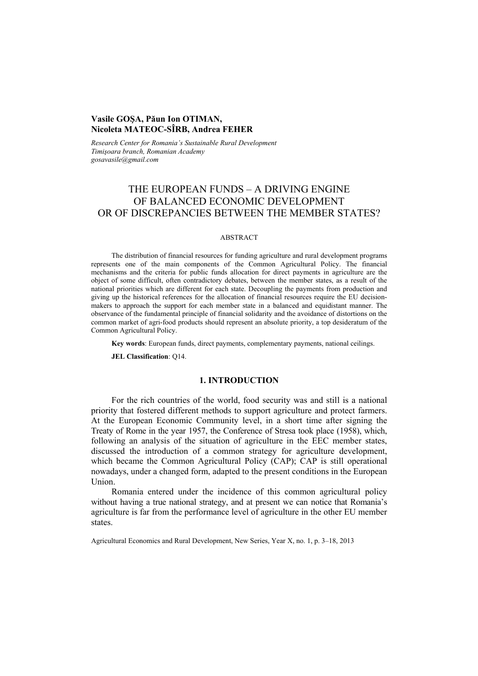## **Vasile GOŞA, Păun Ion OTIMAN, Nicoleta MATEOC-SÎRB, Andrea FEHER**

*Research Center for Romania's Sustainable Rural Development Timişoara branch, Romanian Academy gosavasile@gmail.com* 

# THE EUROPEAN FUNDS – A DRIVING ENGINE OF BALANCED ECONOMIC DEVELOPMENT OR OF DISCREPANCIES BETWEEN THE MEMBER STATES?

#### ABSTRACT

The distribution of financial resources for funding agriculture and rural development programs represents one of the main components of the Common Agricultural Policy. The financial mechanisms and the criteria for public funds allocation for direct payments in agriculture are the object of some difficult, often contradictory debates, between the member states, as a result of the national priorities which are different for each state. Decoupling the payments from production and giving up the historical references for the allocation of financial resources require the EU decisionmakers to approach the support for each member state in a balanced and equidistant manner. The observance of the fundamental principle of financial solidarity and the avoidance of distortions on the common market of agri-food products should represent an absolute priority, a top desideratum of the Common Agricultural Policy.

**Key words**: European funds, direct payments, complementary payments, national ceilings.

**JEL Classification**: Q14.

### **1. INTRODUCTION**

For the rich countries of the world, food security was and still is a national priority that fostered different methods to support agriculture and protect farmers. At the European Economic Community level, in a short time after signing the Treaty of Rome in the year 1957, the Conference of Stresa took place (1958), which, following an analysis of the situation of agriculture in the EEC member states, discussed the introduction of a common strategy for agriculture development, which became the Common Agricultural Policy (CAP); CAP is still operational nowadays, under a changed form, adapted to the present conditions in the European Union.

Romania entered under the incidence of this common agricultural policy without having a true national strategy, and at present we can notice that Romania's agriculture is far from the performance level of agriculture in the other EU member states.

Agricultural Economics and Rural Development, New Series, Year X, no. 1, p. 3–18, 2013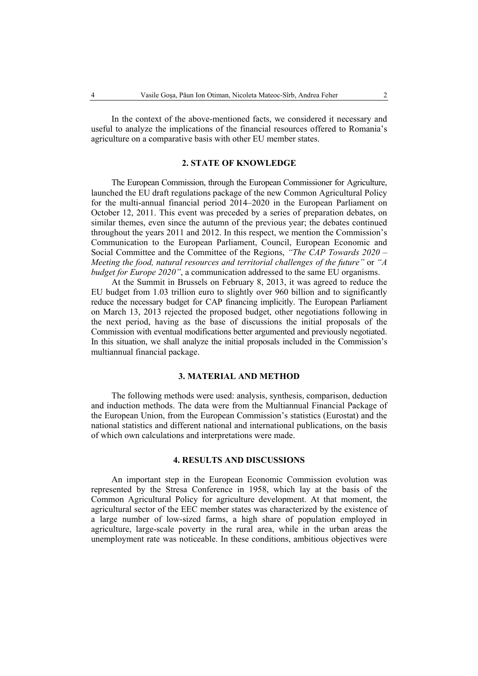In the context of the above-mentioned facts, we considered it necessary and useful to analyze the implications of the financial resources offered to Romania's agriculture on a comparative basis with other EU member states.

### **2. STATE OF KNOWLEDGE**

The European Commission, through the European Commissioner for Agriculture, launched the EU draft regulations package of the new Common Agricultural Policy for the multi-annual financial period 2014–2020 in the European Parliament on October 12, 2011. This event was preceded by a series of preparation debates, on similar themes, even since the autumn of the previous year; the debates continued throughout the years 2011 and 2012. In this respect, we mention the Commission's Communication to the European Parliament, Council, European Economic and Social Committee and the Committee of the Regions, *"The CAP Towards 2020 – Meeting the food, natural resources and territorial challenges of the future"* or *"A budget for Europe 2020"*, a communication addressed to the same EU organisms.

At the Summit in Brussels on February 8, 2013, it was agreed to reduce the EU budget from 1.03 trillion euro to slightly over 960 billion and to significantly reduce the necessary budget for CAP financing implicitly. The European Parliament on March 13, 2013 rejected the proposed budget, other negotiations following in the next period, having as the base of discussions the initial proposals of the Commission with eventual modifications better argumented and previously negotiated. In this situation, we shall analyze the initial proposals included in the Commission's multiannual financial package.

### **3. MATERIAL AND METHOD**

The following methods were used: analysis, synthesis, comparison, deduction and induction methods. The data were from the Multiannual Financial Package of the European Union, from the European Commission's statistics (Eurostat) and the national statistics and different national and international publications, on the basis of which own calculations and interpretations were made.

#### **4. RESULTS AND DISCUSSIONS**

An important step in the European Economic Commission evolution was represented by the Stresa Conference in 1958, which lay at the basis of the Common Agricultural Policy for agriculture development. At that moment, the agricultural sector of the EEC member states was characterized by the existence of a large number of low-sized farms, a high share of population employed in agriculture, large-scale poverty in the rural area, while in the urban areas the unemployment rate was noticeable. In these conditions, ambitious objectives were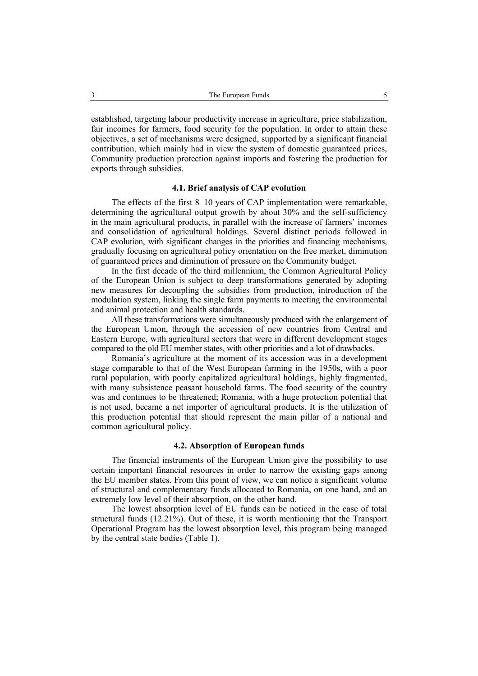established, targeting labour productivity increase in agriculture, price stabilization, fair incomes for farmers, food security for the population. In order to attain these objectives, a set of mechanisms were designed, supported by a significant financial contribution, which mainly had in view the system of domestic guaranteed prices, Community production protection against imports and fostering the production for exports through subsidies.

### **4.1. Brief analysis of CAP evolution**

The effects of the first 8–10 years of CAP implementation were remarkable, determining the agricultural output growth by about 30% and the self-sufficiency in the main agricultural products, in parallel with the increase of farmers' incomes and consolidation of agricultural holdings. Several distinct periods followed in CAP evolution, with significant changes in the priorities and financing mechanisms, gradually focusing on agricultural policy orientation on the free market, diminution of guaranteed prices and diminution of pressure on the Community budget.

In the first decade of the third millennium, the Common Agricultural Policy of the European Union is subject to deep transformations generated by adopting new measures for decoupling the subsidies from production, introduction of the modulation system, linking the single farm payments to meeting the environmental and animal protection and health standards.

All these transformations were simultaneously produced with the enlargement of the European Union, through the accession of new countries from Central and Eastern Europe, with agricultural sectors that were in different development stages compared to the old EU member states, with other priorities and a lot of drawbacks.

Romania's agriculture at the moment of its accession was in a development stage comparable to that of the West European farming in the 1950s, with a poor rural population, with poorly capitalized agricultural holdings, highly fragmented, with many subsistence peasant household farms. The food security of the country was and continues to be threatened; Romania, with a huge protection potential that is not used, became a net importer of agricultural products. It is the utilization of this production potential that should represent the main pillar of a national and common agricultural policy.

### **4.2. Absorption of European funds**

The financial instruments of the European Union give the possibility to use certain important financial resources in order to narrow the existing gaps among the EU member states. From this point of view, we can notice a significant volume of structural and complementary funds allocated to Romania, on one hand, and an extremely low level of their absorption, on the other hand.

The lowest absorption level of EU funds can be noticed in the case of total structural funds (12.21%). Out of these, it is worth mentioning that the Transport Operational Program has the lowest absorption level, this program being managed by the central state bodies (Table 1).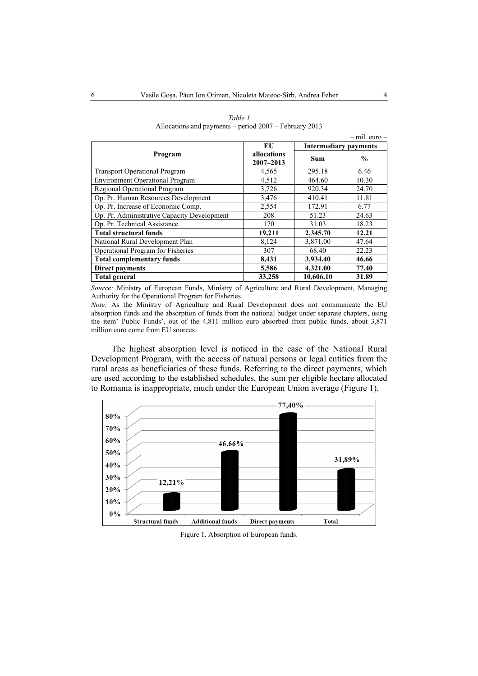|                                             |                              |                              | $-$ mil. euro $-$ |  |
|---------------------------------------------|------------------------------|------------------------------|-------------------|--|
|                                             | EU                           | <b>Intermediary payments</b> |                   |  |
| Program                                     | allocations<br>$2007 - 2013$ | <b>Sum</b>                   | $\frac{0}{0}$     |  |
| <b>Transport Operational Program</b>        | 4,565                        | 295.18                       | 6.46              |  |
| <b>Environment Operational Program</b>      | 4,512                        | 464.60                       | 10.30             |  |
| Regional Operational Program                | 3,726                        | 920.34                       | 24.70             |  |
| Op. Pr. Human Resources Development         | 3,476                        | 410.41                       | 11.81             |  |
| Op. Pr. Increase of Economic Comp.          | 2,554                        | 172.91                       | 6.77              |  |
| Op. Pr. Administrative Capacity Development | 208                          | 51.23                        | 24.63             |  |
| Op. Pr. Technical Assistance                | 170                          | 31.03                        | 18.23             |  |
| <b>Total structural funds</b>               | 19,211                       | 2,345.70                     | 12.21             |  |
| National Rural Development Plan             | 8,124                        | 3,871.00                     | 47.64             |  |
| Operational Program for Fisheries           | 307                          | 68.40                        | 22.23             |  |
| <b>Total complementary funds</b>            | 8,431                        | 3,934.40                     | 46.66             |  |
| <b>Direct payments</b>                      | 5,586                        | 4,321.00                     | 77.40             |  |
| <b>Total general</b>                        | 33,258                       | 10.606.10                    | 31.89             |  |

| Table 1                                                  |  |  |  |  |  |
|----------------------------------------------------------|--|--|--|--|--|
| Allocations and payments – period $2007$ – February 2013 |  |  |  |  |  |

*Source:* Ministry of European Funds, Ministry of Agriculture and Rural Development, Managing Authority for the Operational Program for Fisheries.

*Note:* As the Ministry of Agriculture and Rural Development does not communicate the EU absorption funds and the absorption of funds from the national budget under separate chapters, using the item' Public Funds', out of the 4,811 million euro absorbed from public funds, about 3,871 million euro come from EU sources.

The highest absorption level is noticed in the case of the National Rural Development Program, with the access of natural persons or legal entities from the rural areas as beneficiaries of these funds. Referring to the direct payments, which are used according to the established schedules, the sum per eligible hectare allocated to Romania is inappropriate, much under the European Union average (Figure 1).



Figure 1. Absorption of European funds.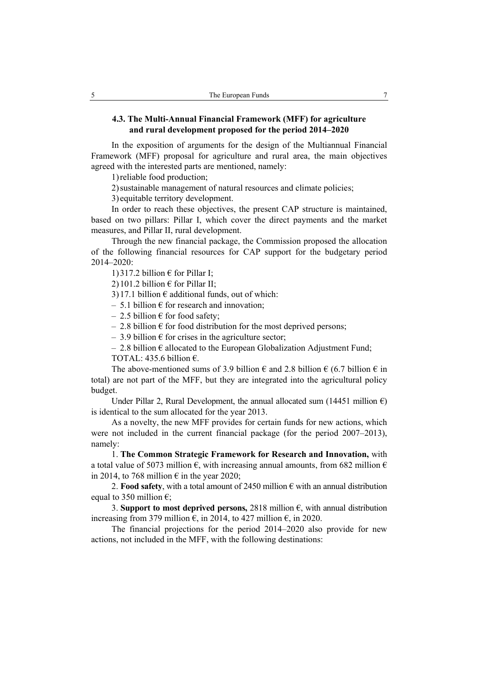### **4.3. The Multi-Annual Financial Framework (MFF) for agriculture and rural development proposed for the period 2014–2020**

In the exposition of arguments for the design of the Multiannual Financial Framework (MFF) proposal for agriculture and rural area, the main objectives agreed with the interested parts are mentioned, namely:

1)reliable food production;

2)sustainable management of natural resources and climate policies;

3) equitable territory development.

In order to reach these objectives, the present CAP structure is maintained, based on two pillars: Pillar I, which cover the direct payments and the market measures, and Pillar II, rural development.

Through the new financial package, the Commission proposed the allocation of the following financial resources for CAP support for the budgetary period 2014–2020:

1) 317.2 billion  $\epsilon$  for Pillar I;

2) 101.2 billion  $\epsilon$  for Pillar II;

3)17.1 billion  $\epsilon$  additional funds, out of which:

 $-5.1$  billion  $\epsilon$  for research and innovation;

– 2.5 billion  $\epsilon$  for food safety;

 $-2.8$  billion  $\epsilon$  for food distribution for the most deprived persons;

– 3.9 billion  $\epsilon$  for crises in the agriculture sector;

 $-2.8$  billion  $\epsilon$  allocated to the European Globalization Adjustment Fund; TOTAL: 435.6 billion  $\epsilon$ .

The above-mentioned sums of 3.9 billion  $\epsilon$  and 2.8 billion  $\epsilon$  (6.7 billion  $\epsilon$  in total) are not part of the MFF, but they are integrated into the agricultural policy budget.

Under Pillar 2, Rural Development, the annual allocated sum (14451 million  $\epsilon$ ) is identical to the sum allocated for the year 2013.

As a novelty, the new MFF provides for certain funds for new actions, which were not included in the current financial package (for the period 2007–2013), namely:

1. **The Common Strategic Framework for Research and Innovation,** with a total value of 5073 million  $\epsilon$ , with increasing annual amounts, from 682 million  $\epsilon$ in 2014, to 768 million  $\epsilon$  in the year 2020;

2. **Food safety**, with a total amount of 2450 million  $\epsilon$  with an annual distribution equal to 350 million  $\epsilon$ :

3. **Support to most deprived persons,** 2818 million  $\epsilon$ , with annual distribution increasing from 379 million  $\epsilon$ , in 2014, to 427 million  $\epsilon$ , in 2020.

The financial projections for the period 2014–2020 also provide for new actions, not included in the MFF, with the following destinations: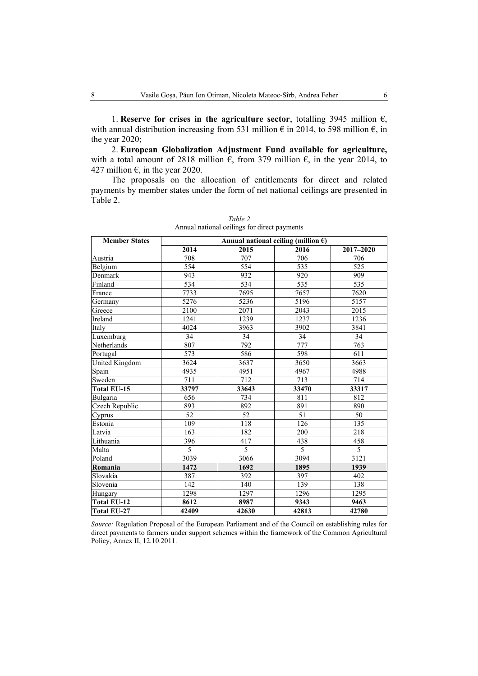1. **Reserve for crises in the agriculture sector**, totalling 3945 million  $\epsilon$ , with annual distribution increasing from 531 million  $\epsilon$  in 2014, to 598 million  $\epsilon$ , in the year 2020;

2. **European Globalization Adjustment Fund available for agriculture,**  with a total amount of 2818 million  $\epsilon$ , from 379 million  $\epsilon$ , in the year 2014, to 427 million  $\epsilon$ , in the year 2020.

The proposals on the allocation of entitlements for direct and related payments by member states under the form of net national ceilings are presented in Table 2.

| <b>Member States</b>  | Annual national ceiling (million $\epsilon$ ) |                 |       |           |  |
|-----------------------|-----------------------------------------------|-----------------|-------|-----------|--|
|                       | 2014                                          | 2015            | 2016  | 2017-2020 |  |
| Austria               | 708                                           | 707             | 706   | 706       |  |
| Belgium               | 554                                           | 554             | 535   | 525       |  |
| Denmark               | 943                                           | 932             | 920   | 909       |  |
| Finland               | 534                                           | 534             | 535   | 535       |  |
| France                | 7733                                          | 7695            | 7657  | 7620      |  |
| Germany               | 5276                                          | 5236            | 5196  | 5157      |  |
| Greece                | 2100                                          | 2071            | 2043  | 2015      |  |
| Ireland               | 1241                                          | 1239            | 1237  | 1236      |  |
| Italy                 | 4024                                          | 3963            | 3902  | 3841      |  |
| Luxemburg             | 34                                            | 34              | 34    | 34        |  |
| Netherlands           | 807                                           | 792             | 777   | 763       |  |
| Portugal              | 573                                           | 586             | 598   | 611       |  |
| <b>United Kingdom</b> | 3624                                          | 3637            | 3650  | 3663      |  |
| Spain                 | 4935                                          | 4951            | 4967  | 4988      |  |
| Sweden                | 711                                           | 712             | 713   | 714       |  |
| Total EU-15           | 33797                                         | 33643           | 33470 | 33317     |  |
| Bulgaria              | 656                                           | 734             | 811   | 812       |  |
| Czech Republic        | 893                                           | 892             | 891   | 890       |  |
| Cyprus                | 52                                            | $\overline{52}$ | 51    | 50        |  |
| Estonia               | 109                                           | 118             | 126   | 135       |  |
| Latvia                | 163                                           | 182             | 200   | 218       |  |
| Lithuania             | 396                                           | 417             | 438   | 458       |  |
| Malta                 | 5                                             | 5               | 5     | 5         |  |
| Poland                | 3039                                          | 3066            | 3094  | 3121      |  |
| Romania               | 1472                                          | 1692            | 1895  | 1939      |  |
| Slovakia              | 387                                           | 392             | 397   | 402       |  |
| Slovenia              | 142                                           | 140             | 139   | 138       |  |
| Hungary               | 1298                                          | 1297            | 1296  | 1295      |  |
| <b>Total EU-12</b>    | 8612                                          | 8987            | 9343  | 9463      |  |
| <b>Total EU-27</b>    | 42409                                         | 42630           | 42813 | 42780     |  |

*Table 2*  Annual national ceilings for direct payments

*Source:* Regulation Proposal of the European Parliament and of the Council on establishing rules for direct payments to farmers under support schemes within the framework of the Common Agricultural Policy, Annex II, 12.10.2011.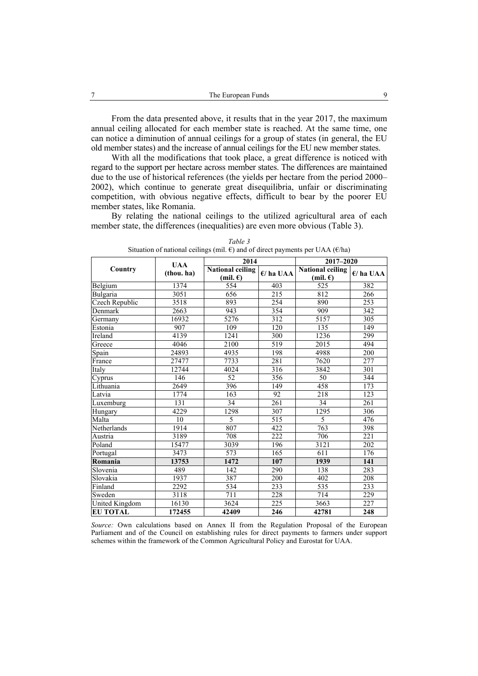From the data presented above, it results that in the year 2017, the maximum annual ceiling allocated for each member state is reached. At the same time, one can notice a diminution of annual ceilings for a group of states (in general, the EU old member states) and the increase of annual ceilings for the EU new member states.

With all the modifications that took place, a great difference is noticed with regard to the support per hectare across member states. The differences are maintained due to the use of historical references (the yields per hectare from the period 2000– 2002), which continue to generate great disequilibria, unfair or discriminating competition, with obvious negative effects, difficult to bear by the poorer EU member states, like Romania.

By relating the national ceilings to the utilized agricultural area of each member state, the differences (inequalities) are even more obvious (Table 3).

|                       |                          | 2014                                          |                  | 2017-2020                                     |                  |
|-----------------------|--------------------------|-----------------------------------------------|------------------|-----------------------------------------------|------------------|
| Country               | <b>UAA</b><br>(thou. ha) | <b>National ceiling</b><br>(mil. $\epsilon$ ) | $E/$ ha UAA      | <b>National ceiling</b><br>(mil. $\epsilon$ ) | $E/$ ha UAA      |
| Belgium               | 1374                     | 554                                           | 403              | 525                                           | 382              |
| Bulgaria              | 3051                     | 656                                           | 215              | 812                                           | $\overline{266}$ |
| <b>Czech Republic</b> | 3518                     | 893                                           | 254              | 890                                           | 253              |
| Denmark               | 2663                     | 943                                           | 354              | 909                                           | 342              |
| Germany               | 16932                    | 5276                                          | 312              | 5157                                          | 305              |
| Estonia               | 907                      | 109                                           | 120              | 135                                           | 149              |
| Ireland               | 4139                     | 1241                                          | 300              | 1236                                          | 299              |
| Greece                | 4046                     | 2100                                          | 519              | 2015                                          | 494              |
| Spain                 | 24893                    | 4935                                          | 198              | 4988                                          | 200              |
| France                | 27477                    | 7733                                          | 281              | 7620                                          | 277              |
| Italy                 | 12744                    | 4024                                          | $\overline{316}$ | 3842                                          | 301              |
| Cyprus                | 146                      | 52                                            | 356              | 50                                            | 344              |
| Lithuania             | 2649                     | 396                                           | 149              | 458                                           | 173              |
| Latvia                | 1774                     | 163                                           | 92               | 218                                           | 123              |
| <b>Luxemburg</b>      | 131                      | 34                                            | 261              | 34                                            | 261              |
| Hungary               | 4229                     | 1298                                          | 307              | 1295                                          | 306              |
| Malta                 | 10                       | 5                                             | 515              | 5                                             | 476              |
| Netherlands           | 1914                     | 807                                           | 422              | 763                                           | 398              |
| Austria               | 3189                     | 708                                           | 222              | 706                                           | 221              |
| Poland                | 15477                    | 3039                                          | 196              | 3121                                          | 202              |
| Portugal              | 3473                     | 573                                           | 165              | 611                                           | 176              |
| Romania               | 13753                    | 1472                                          | 107              | 1939                                          | 141              |
| Slovenia              | 489                      | 142                                           | 290              | 138                                           | 283              |
| Slovakia              | 1937                     | 387                                           | 200              | 402                                           | 208              |
| Finland               | 2292                     | 534                                           | 233              | 535                                           | 233              |
| Sweden                | 3118                     | 711                                           | 228              | 714                                           | 229              |
| <b>United Kingdom</b> | 16130                    | 3624                                          | 225              | 3663                                          | 227              |
| <b>EU TOTAL</b>       | 172455                   | 42409                                         | 246              | 42781                                         | 248              |

*Table 3*  Situation of national ceilings (mil.  $\epsilon$ ) and of direct payments per UAA ( $\epsilon$ /ha)

*Source:* Own calculations based on Annex II from the Regulation Proposal of the European Parliament and of the Council on establishing rules for direct payments to farmers under support schemes within the framework of the Common Agricultural Policy and Eurostat for UAA.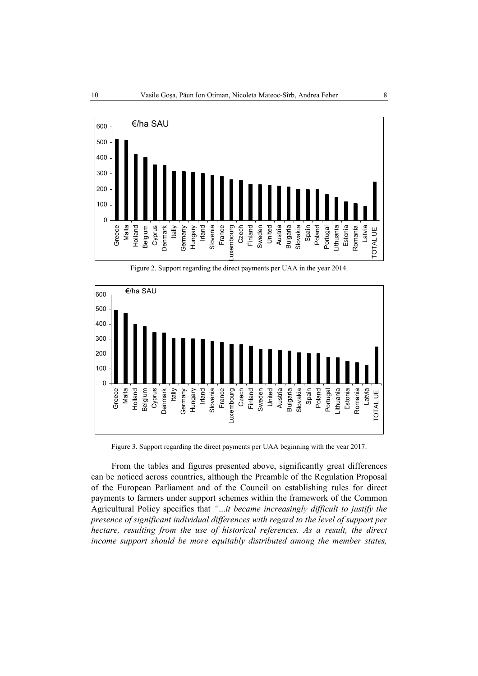

Figure 2. Support regarding the direct payments per UAA in the year 2014.



Figure 3. Support regarding the direct payments per UAA beginning with the year 2017.

From the tables and figures presented above, significantly great differences can be noticed across countries, although the Preamble of the Regulation Proposal of the European Parliament and of the Council on establishing rules for direct payments to farmers under support schemes within the framework of the Common Agricultural Policy specifies that *"*...*it became increasingly difficult to justify the presence of significant individual differences with regard to the level of support per hectare, resulting from the use of historical references. As a result, the direct income support should be more equitably distributed among the member states,*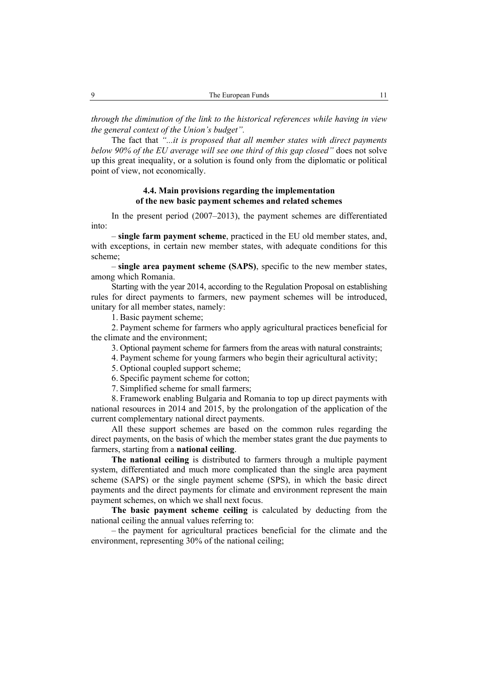*through the diminution of the link to the historical references while having in view the general context of the Union's budget".* 

The fact that *"...it is proposed that all member states with direct payments below 90% of the EU average will see one third of this gap closed"* does not solve up this great inequality, or a solution is found only from the diplomatic or political point of view, not economically.

### **4.4. Main provisions regarding the implementation of the new basic payment schemes and related schemes**

In the present period (2007–2013), the payment schemes are differentiated into:

– **single farm payment scheme**, practiced in the EU old member states, and, with exceptions, in certain new member states, with adequate conditions for this scheme;

– **single area payment scheme (SAPS)**, specific to the new member states, among which Romania.

Starting with the year 2014, according to the Regulation Proposal on establishing rules for direct payments to farmers, new payment schemes will be introduced, unitary for all member states, namely:

1. Basic payment scheme;

2. Payment scheme for farmers who apply agricultural practices beneficial for the climate and the environment;

3. Optional payment scheme for farmers from the areas with natural constraints;

4. Payment scheme for young farmers who begin their agricultural activity;

5. Optional coupled support scheme;

6. Specific payment scheme for cotton;

7. Simplified scheme for small farmers;

8. Framework enabling Bulgaria and Romania to top up direct payments with national resources in 2014 and 2015, by the prolongation of the application of the current complementary national direct payments.

All these support schemes are based on the common rules regarding the direct payments, on the basis of which the member states grant the due payments to farmers, starting from a **national ceiling**.

**The national ceiling** is distributed to farmers through a multiple payment system, differentiated and much more complicated than the single area payment scheme (SAPS) or the single payment scheme (SPS), in which the basic direct payments and the direct payments for climate and environment represent the main payment schemes, on which we shall next focus.

**The basic payment scheme ceiling** is calculated by deducting from the national ceiling the annual values referring to:

– the payment for agricultural practices beneficial for the climate and the environment, representing 30% of the national ceiling;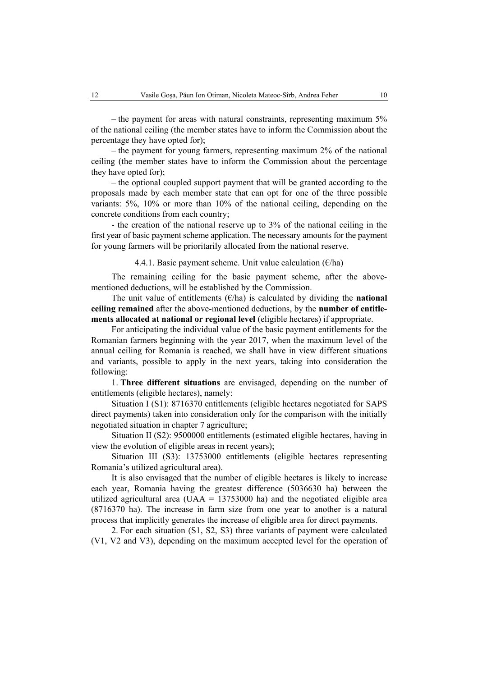– the payment for areas with natural constraints, representing maximum 5% of the national ceiling (the member states have to inform the Commission about the percentage they have opted for);

– the payment for young farmers, representing maximum 2% of the national ceiling (the member states have to inform the Commission about the percentage they have opted for);

– the optional coupled support payment that will be granted according to the proposals made by each member state that can opt for one of the three possible variants: 5%, 10% or more than 10% of the national ceiling, depending on the concrete conditions from each country;

- the creation of the national reserve up to 3% of the national ceiling in the first year of basic payment scheme application. The necessary amounts for the payment for young farmers will be prioritarily allocated from the national reserve.

#### 4.4.1. Basic payment scheme. Unit value calculation  $(\epsilon/\text{ha})$

The remaining ceiling for the basic payment scheme, after the abovementioned deductions, will be established by the Commission.

The unit value of entitlements  $(\epsilon/\hbar a)$  is calculated by dividing the **national ceiling remained** after the above-mentioned deductions, by the **number of entitlements allocated at national or regional level** (eligible hectares) if appropriate.

For anticipating the individual value of the basic payment entitlements for the Romanian farmers beginning with the year 2017, when the maximum level of the annual ceiling for Romania is reached, we shall have in view different situations and variants, possible to apply in the next years, taking into consideration the following:

1. **Three different situations** are envisaged, depending on the number of entitlements (eligible hectares), namely:

Situation I (S1): 8716370 entitlements (eligible hectares negotiated for SAPS direct payments) taken into consideration only for the comparison with the initially negotiated situation in chapter 7 agriculture;

Situation II (S2): 9500000 entitlements (estimated eligible hectares, having in view the evolution of eligible areas in recent years);

Situation III (S3): 13753000 entitlements (eligible hectares representing Romania's utilized agricultural area).

It is also envisaged that the number of eligible hectares is likely to increase each year, Romania having the greatest difference (5036630 ha) between the utilized agricultural area (UAA =  $13753000$  ha) and the negotiated eligible area (8716370 ha). The increase in farm size from one year to another is a natural process that implicitly generates the increase of eligible area for direct payments.

2. For each situation (S1, S2, S3) three variants of payment were calculated (V1, V2 and V3), depending on the maximum accepted level for the operation of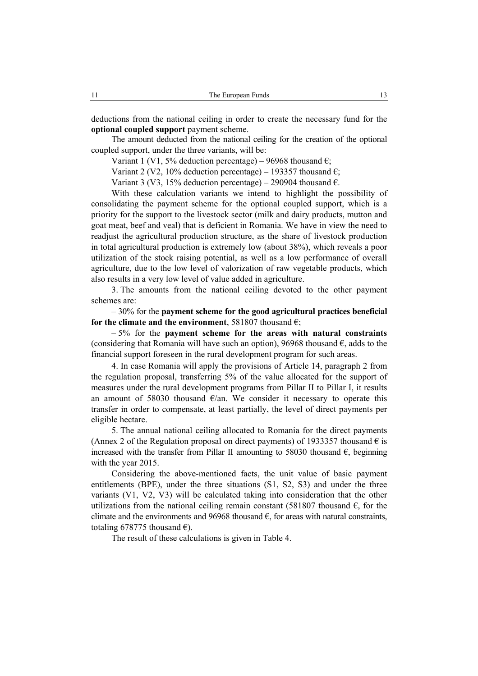deductions from the national ceiling in order to create the necessary fund for the **optional coupled support** payment scheme.

The amount deducted from the national ceiling for the creation of the optional coupled support, under the three variants, will be:

Variant 1 (V1, 5% deduction percentage) – 96968 thousand  $\epsilon$ ;

Variant 2 (V2, 10% deduction percentage) – 193357 thousand  $\epsilon$ ;

Variant 3 (V3, 15% deduction percentage) – 290904 thousand  $\epsilon$ .

With these calculation variants we intend to highlight the possibility of consolidating the payment scheme for the optional coupled support, which is a priority for the support to the livestock sector (milk and dairy products, mutton and goat meat, beef and veal) that is deficient in Romania. We have in view the need to readjust the agricultural production structure, as the share of livestock production in total agricultural production is extremely low (about 38%), which reveals a poor utilization of the stock raising potential, as well as a low performance of overall agriculture, due to the low level of valorization of raw vegetable products, which also results in a very low level of value added in agriculture.

3. The amounts from the national ceiling devoted to the other payment schemes are:

– 30% for the **payment scheme for the good agricultural practices beneficial for the climate and the environment**, 581807 thousand  $\epsilon$ :

– 5% for the **payment scheme for the areas with natural constraints** (considering that Romania will have such an option), 96968 thousand  $\epsilon$ , adds to the financial support foreseen in the rural development program for such areas.

4. In case Romania will apply the provisions of Article 14, paragraph 2 from the regulation proposal, transferring 5% of the value allocated for the support of measures under the rural development programs from Pillar II to Pillar I, it results an amount of 58030 thousand  $\epsilon$ /an. We consider it necessary to operate this transfer in order to compensate, at least partially, the level of direct payments per eligible hectare.

5. The annual national ceiling allocated to Romania for the direct payments (Annex 2 of the Regulation proposal on direct payments) of 1933357 thousand  $\epsilon$  is increased with the transfer from Pillar II amounting to 58030 thousand  $\epsilon$ , beginning with the year 2015.

Considering the above-mentioned facts, the unit value of basic payment entitlements (BPE), under the three situations (S1, S2, S3) and under the three variants (V1, V2, V3) will be calculated taking into consideration that the other utilizations from the national ceiling remain constant (581807 thousand  $\epsilon$ , for the climate and the environments and 96968 thousand  $\epsilon$ , for areas with natural constraints, totaling 678775 thousand  $\epsilon$ ).

The result of these calculations is given in Table 4.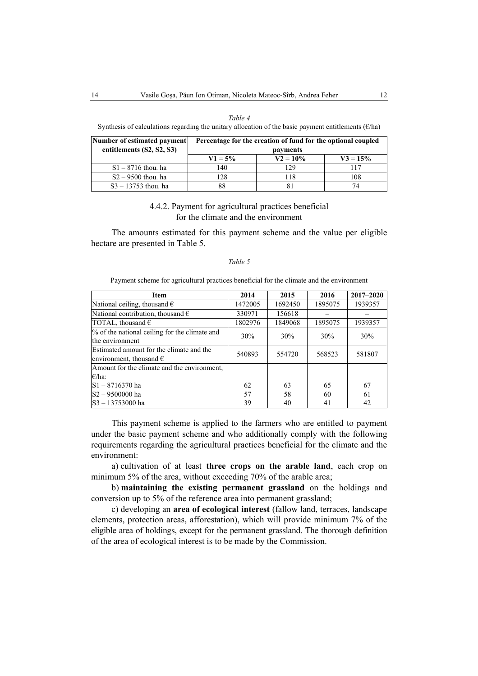#### *Table 4*

Synthesis of calculations regarding the unitary allocation of the basic payment entitlements ( $\epsilon$ /ha)

| Number of estimated payment | Percentage for the creation of fund for the optional coupled |             |            |  |
|-----------------------------|--------------------------------------------------------------|-------------|------------|--|
| entitlements (S2, S2, S3)   |                                                              | payments    |            |  |
|                             | $V1 = 5\%$                                                   | $V2 = 10\%$ | $V3 = 15%$ |  |
| $S1 - 8716$ thou, ha        | 140                                                          | 129         | 117        |  |
| $S2 - 9500$ thou, ha        | 128                                                          | 118         | 108        |  |
| $S3 - 13753$ thou, ha       | 88                                                           | 81          | 74         |  |

### 4.4.2. Payment for agricultural practices beneficial for the climate and the environment

The amounts estimated for this payment scheme and the value per eligible hectare are presented in Table 5.

### *Table 5*

Payment scheme for agricultural practices beneficial for the climate and the environment

| <b>Item</b>                                   | 2014    | 2015    | 2016    | $2017 - 2020$ |  |
|-----------------------------------------------|---------|---------|---------|---------------|--|
| National ceiling, thousand $\epsilon$         | 1472005 | 1692450 | 1895075 | 1939357       |  |
| National contribution, thousand $\epsilon$    | 330971  | 156618  |         |               |  |
| TOTAL, thousand $\epsilon$                    | 1802976 | 1849068 | 1895075 | 1939357       |  |
| % of the national ceiling for the climate and | 30%     | 30%     | 30%     | 30%           |  |
| the environment                               |         |         |         |               |  |
| Estimated amount for the climate and the      | 540893  | 554720  | 568523  | 581807        |  |
| environment, thousand $\epsilon$              |         |         |         |               |  |
| Amount for the climate and the environment.   |         |         |         |               |  |
| $\epsilon$ /ha:                               |         |         |         |               |  |
| $S1 - 8716370$ ha                             | 62      | 63      | 65      | 67            |  |
| IS2 - 9500000 ha                              | 57      | 58      | 60      | 61            |  |
| S3-13753000 ha                                | 39      | 40      | 41      | 42            |  |

This payment scheme is applied to the farmers who are entitled to payment under the basic payment scheme and who additionally comply with the following requirements regarding the agricultural practices beneficial for the climate and the environment:

a) cultivation of at least **three crops on the arable land**, each crop on minimum 5% of the area, without exceeding 70% of the arable area;

b) **maintaining the existing permanent grassland** on the holdings and conversion up to 5% of the reference area into permanent grassland;

c) developing an **area of ecological interest** (fallow land, terraces, landscape elements, protection areas, afforestation), which will provide minimum 7% of the eligible area of holdings, except for the permanent grassland. The thorough definition of the area of ecological interest is to be made by the Commission.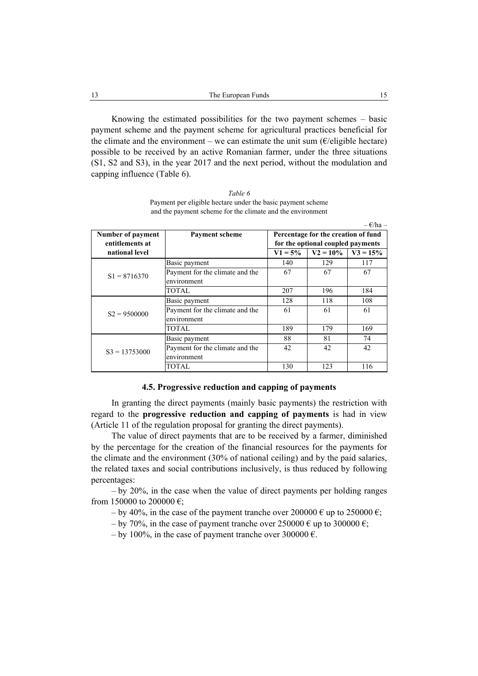Knowing the estimated possibilities for the two payment schemes – basic payment scheme and the payment scheme for agricultural practices beneficial for the climate and the environment – we can estimate the unit sum ( $\epsilon$ /eligible hectare) possible to be received by an active Romanian farmer, under the three situations (S1, S2 and S3), in the year 2017 and the next period, without the modulation and capping influence (Table 6).

*Table 6*  Payment per eligible hectare under the basic payment scheme and the payment scheme for the climate and the environment

|                   |                                                |           |                                     | $-\frac{\epsilon}{h}a$ – |
|-------------------|------------------------------------------------|-----------|-------------------------------------|--------------------------|
| Number of payment | <b>Payment scheme</b>                          |           | Percentage for the creation of fund |                          |
| entitlements at   |                                                |           | for the optional coupled payments   |                          |
| national level    |                                                | $V1 = 5%$ | $V2 = 10\%$                         | $V3 = 15%$               |
|                   | Basic payment                                  | 140       | 129                                 | 117                      |
| $S1 = 8716370$    | Payment for the climate and the<br>environment | 67        | 67                                  | 67                       |
|                   | <b>TOTAL</b>                                   | 207       | 196                                 | 184                      |
|                   | Basic payment                                  | 128       | 118                                 | 108                      |
| $S2 = 9500000$    | Payment for the climate and the<br>environment | 61        | 61                                  | 61                       |
|                   | TOTAL                                          | 189       | 179                                 | 169                      |
|                   | Basic payment                                  | 88        | 81                                  | 74                       |
| $S3 = 13753000$   | Payment for the climate and the<br>environment | 42        | 42                                  | 42                       |
|                   | TOTAL                                          | 130       | 123                                 | 116                      |

#### **4.5. Progressive reduction and capping of payments**

In granting the direct payments (mainly basic payments) the restriction with regard to the **progressive reduction and capping of payments** is had in view (Article 11 of the regulation proposal for granting the direct payments).

The value of direct payments that are to be received by a farmer, diminished by the percentage for the creation of the financial resources for the payments for the climate and the environment (30% of national ceiling) and by the paid salaries, the related taxes and social contributions inclusively, is thus reduced by following percentages:

– by 20%, in the case when the value of direct payments per holding ranges from 150000 to 200000  $\epsilon$ ;

- by 40%, in the case of the payment tranche over  $200000 \in \text{up to } 250000 \in \text{g}$ ;
- by 70%, in the case of payment tranche over  $250000 \in \text{up to } 300000 \in \text{g}$ ;
- by 100%, in the case of payment tranche over 300000  $\epsilon$ .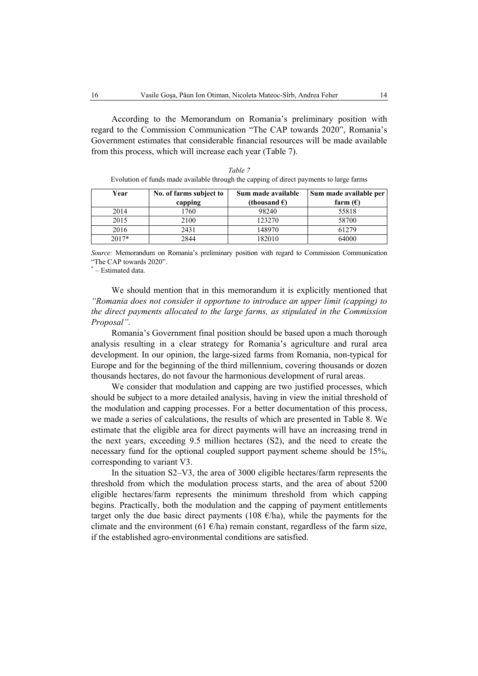According to the Memorandum on Romania's preliminary position with regard to the Commission Communication "The CAP towards 2020", Romania's Government estimates that considerable financial resources will be made available from this process, which will increase each year (Table 7).

*Table 7* 

| Evolution of funds made available through the capping of direct payments to large farms |                         |                                                             |                             |  |  |  |
|-----------------------------------------------------------------------------------------|-------------------------|-------------------------------------------------------------|-----------------------------|--|--|--|
| Year                                                                                    | No. of farms subject to | Sum made available                                          | Sum made available per      |  |  |  |
|                                                                                         | capping                 | (thousand $\epsilon$ )                                      | farm $(E)$                  |  |  |  |
| 2014                                                                                    | .760                    | 98240                                                       | 55818                       |  |  |  |
| 2015                                                                                    | 2100                    | 123270                                                      | 58700                       |  |  |  |
| $\sim$ $\sim$ $\sim$                                                                    | $\sim$ . $\sim$ .       | $\lambda$ $\lambda$ $\lambda$ $\lambda$ $\lambda$ $\lambda$ | $\sim$ $\sim$ $\sim$ $\sim$ |  |  |  |

| 2013 | 21 UU                | 7 U<br>12721          | <b>28700</b>  |
|------|----------------------|-----------------------|---------------|
| 2016 | $243^\circ$<br>- 121 | .48970<br>υ<br>$\tau$ | 1270<br>0 I Z |

2017\* 2844 182010 64000

*Source:* Memorandum on Romania's preliminary position with regard to Commission Communication "The CAP towards 2020".

\* – Estimated data.

We should mention that in this memorandum it is explicitly mentioned that *"Romania does not consider it opportune to introduce an upper limit (capping) to the direct payments allocated to the large farms, as stipulated in the Commission Proposal".* 

Romania's Government final position should be based upon a much thorough analysis resulting in a clear strategy for Romania's agriculture and rural area development. In our opinion, the large-sized farms from Romania, non-typical for Europe and for the beginning of the third millennium, covering thousands or dozen thousands hectares, do not favour the harmonious development of rural areas.

We consider that modulation and capping are two justified processes, which should be subject to a more detailed analysis, having in view the initial threshold of the modulation and capping processes. For a better documentation of this process, we made a series of calculations, the results of which are presented in Table 8. We estimate that the eligible area for direct payments will have an increasing trend in the next years, exceeding 9.5 million hectares (S2), and the need to create the necessary fund for the optional coupled support payment scheme should be 15%, corresponding to variant V3.

In the situation S2–V3, the area of 3000 eligible hectares/farm represents the threshold from which the modulation process starts, and the area of about 5200 eligible hectares/farm represents the minimum threshold from which capping begins. Practically, both the modulation and the capping of payment entitlements target only the due basic direct payments (108  $\epsilon$ /ha), while the payments for the climate and the environment (61  $\epsilon$ /ha) remain constant, regardless of the farm size, if the established agro-environmental conditions are satisfied.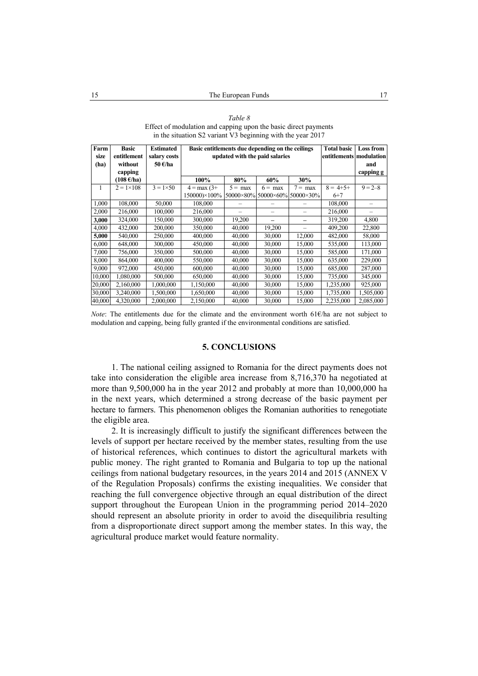| Farm         | <b>Basic</b><br>entitlement | <b>Estimated</b>        |               | Basic entitlements due depending on the ceilings<br>updated with the paid salaries |                  |                  |                         | <b>Loss from</b> |
|--------------|-----------------------------|-------------------------|---------------|------------------------------------------------------------------------------------|------------------|------------------|-------------------------|------------------|
| size<br>(ha) | without                     | salary costs<br>50 €/ha |               |                                                                                    |                  |                  | entitlements modulation | and              |
|              | capping                     |                         |               |                                                                                    |                  |                  |                         | capping g        |
|              | $(108 \text{ E/ha})$        |                         | 100%          | 80%                                                                                | 60%              | 30%              |                         |                  |
|              |                             |                         |               |                                                                                    |                  |                  |                         |                  |
| 1            | $2 = 1 \times 108$          | $3 = 1 \times 50$       | $4 = max(3+)$ | $5 = max$                                                                          | $6 = \text{max}$ | $7 = \text{max}$ | $8 = 4 + 5 +$           | $9 = 2 - 8$      |
|              |                             |                         | 150000)×100%  | 50000×80% 50000×60% 50000×30%                                                      |                  |                  | $6+7$                   |                  |
| 1,000        | 108,000                     | 50.000                  | 108,000       |                                                                                    |                  |                  | 108,000                 |                  |
| 2,000        | 216,000                     | 100,000                 | 216,000       |                                                                                    |                  |                  | 216,000                 |                  |
| 3,000        | 324,000                     | 150,000                 | 300,000       | 19,200                                                                             |                  |                  | 319,200                 | 4,800            |
| 4,000        | 432,000                     | 200,000                 | 350,000       | 40,000                                                                             | 19,200           |                  | 409,200                 | 22,800           |
| 5,000        | 540,000                     | 250,000                 | 400,000       | 40,000                                                                             | 30,000           | 12,000           | 482,000                 | 58,000           |
| 6,000        | 648,000                     | 300,000                 | 450,000       | 40,000                                                                             | 30,000           | 15,000           | 535,000                 | 113,000          |
| 7,000        | 756,000                     | 350,000                 | 500,000       | 40,000                                                                             | 30,000           | 15,000           | 585,000                 | 171,000          |
| 8,000        | 864,000                     | 400,000                 | 550,000       | 40,000                                                                             | 30,000           | 15,000           | 635,000                 | 229,000          |
| 9,000        | 972,000                     | 450,000                 | 600,000       | 40,000                                                                             | 30,000           | 15,000           | 685,000                 | 287,000          |
| 10,000       | 1,080,000                   | 500,000                 | 650,000       | 40,000                                                                             | 30,000           | 15,000           | 735,000                 | 345,000          |
| 20,000       | 2,160,000                   | 1,000,000               | 1,150,000     | 40,000                                                                             | 30,000           | 15,000           | 1,235,000               | 925,000          |
| 30,000       | 3,240,000                   | 1,500,000               | 1,650,000     | 40,000                                                                             | 30,000           | 15,000           | 1,735,000               | 1,505,000        |
| 40,000       | 4,320,000                   | 2,000,000               | 2,150,000     | 40,000                                                                             | 30,000           | 15,000           | 2,235,000               | 2,085,000        |

*Table 8*  Effect of modulation and capping upon the basic direct payments in the situation S2 variant V3 beginning with the year 2017

*Note*: The entitlements due for the climate and the environment worth 61€/ha are not subject to modulation and capping, being fully granted if the environmental conditions are satisfied.

### **5. CONCLUSIONS**

1. The national ceiling assigned to Romania for the direct payments does not take into consideration the eligible area increase from 8,716,370 ha negotiated at more than 9,500,000 ha in the year 2012 and probably at more than 10,000,000 ha in the next years, which determined a strong decrease of the basic payment per hectare to farmers. This phenomenon obliges the Romanian authorities to renegotiate the eligible area.

2. It is increasingly difficult to justify the significant differences between the levels of support per hectare received by the member states, resulting from the use of historical references, which continues to distort the agricultural markets with public money. The right granted to Romania and Bulgaria to top up the national ceilings from national budgetary resources, in the years 2014 and 2015 (ANNEX V of the Regulation Proposals) confirms the existing inequalities. We consider that reaching the full convergence objective through an equal distribution of the direct support throughout the European Union in the programming period 2014–2020 should represent an absolute priority in order to avoid the disequilibria resulting from a disproportionate direct support among the member states. In this way, the agricultural produce market would feature normality.